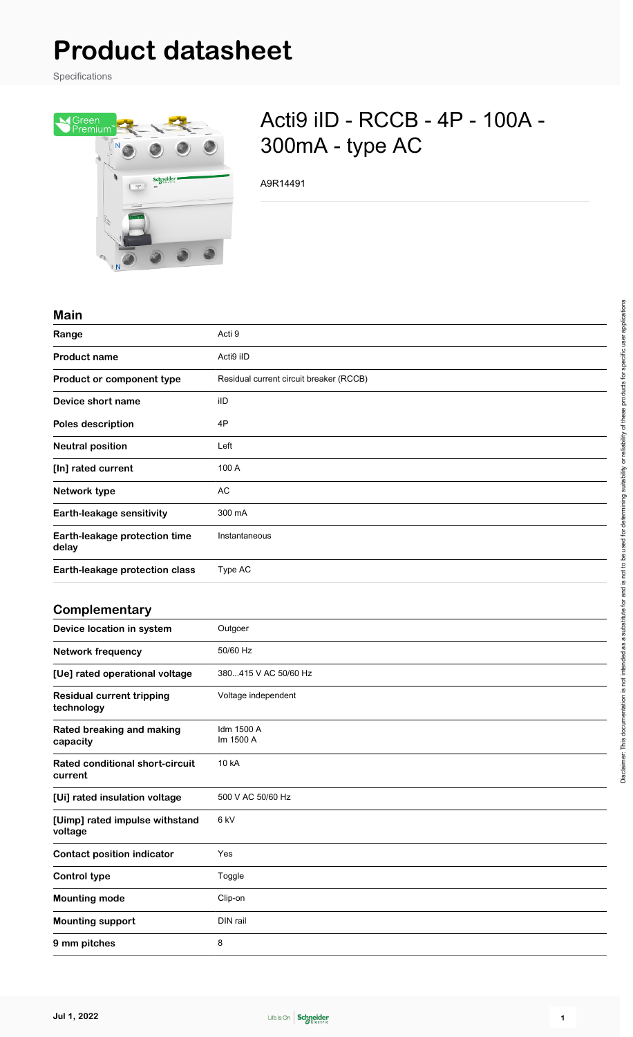# **Product datasheet**

Specifications



## Acti9 iID - RCCB - 4P - 100A - 300mA - type AC

A9R14491

#### **Main**

| waw                                    |                                         |
|----------------------------------------|-----------------------------------------|
| Range                                  | Acti 9                                  |
| <b>Product name</b>                    | Acti9 iID                               |
| Product or component type              | Residual current circuit breaker (RCCB) |
| Device short name                      | iID                                     |
| <b>Poles description</b>               | 4P                                      |
| <b>Neutral position</b>                | Left                                    |
| [In] rated current                     | 100 A                                   |
| Network type                           | AC                                      |
| <b>Earth-leakage sensitivity</b>       | 300 mA                                  |
| Earth-leakage protection time<br>delay | Instantaneous                           |
| Earth-leakage protection class         | Type AC                                 |
|                                        |                                         |

#### **Complementary**

| Device location in system                         | Outgoer                 |
|---------------------------------------------------|-------------------------|
| <b>Network frequency</b>                          | 50/60 Hz                |
| [Ue] rated operational voltage                    | 380415 V AC 50/60 Hz    |
| <b>Residual current tripping</b><br>technology    | Voltage independent     |
| Rated breaking and making<br>capacity             | Idm 1500 A<br>Im 1500 A |
| <b>Rated conditional short-circuit</b><br>current | 10 kA                   |
| [Ui] rated insulation voltage                     | 500 V AC 50/60 Hz       |
| [Uimp] rated impulse withstand<br>voltage         | 6 kV                    |
| <b>Contact position indicator</b>                 | Yes                     |
| <b>Control type</b>                               | Toggle                  |
| <b>Mounting mode</b>                              | Clip-on                 |
| <b>Mounting support</b>                           | DIN rail                |
| 9 mm pitches                                      | 8                       |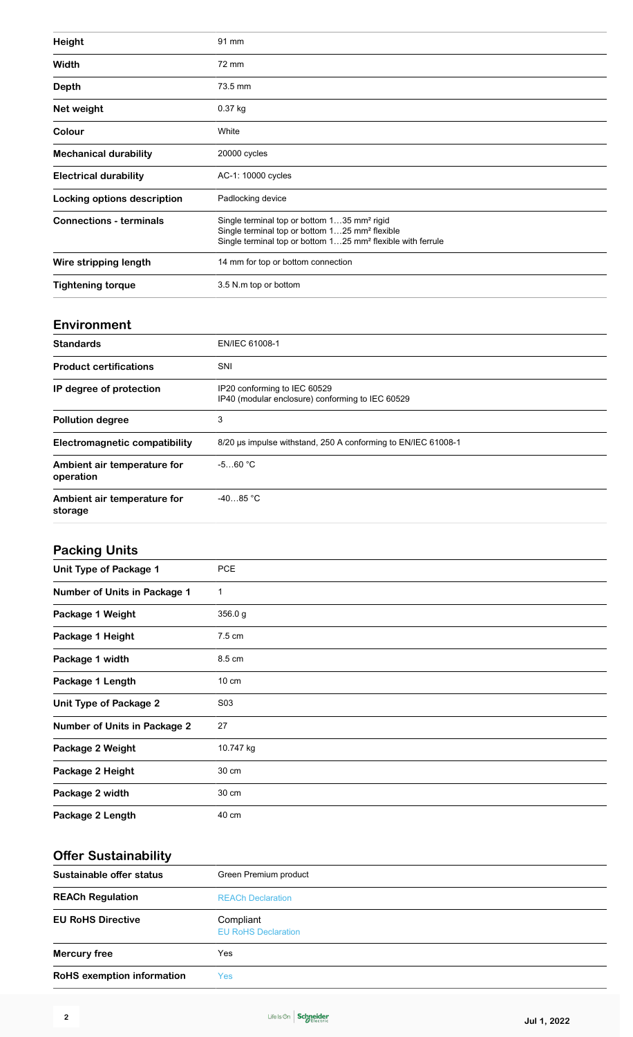| <b>Height</b>                      | 91 mm                                                                                                                                                                                            |
|------------------------------------|--------------------------------------------------------------------------------------------------------------------------------------------------------------------------------------------------|
| Width                              | 72 mm                                                                                                                                                                                            |
| Depth                              | 73.5 mm                                                                                                                                                                                          |
| Net weight                         | $0.37$ kg                                                                                                                                                                                        |
| Colour                             | White                                                                                                                                                                                            |
| <b>Mechanical durability</b>       | 20000 cycles                                                                                                                                                                                     |
| <b>Electrical durability</b>       | AC-1: 10000 cycles                                                                                                                                                                               |
| <b>Locking options description</b> | Padlocking device                                                                                                                                                                                |
| <b>Connections - terminals</b>     | Single terminal top or bottom 135 mm <sup>2</sup> rigid<br>Single terminal top or bottom 125 mm <sup>2</sup> flexible<br>Single terminal top or bottom 125 mm <sup>2</sup> flexible with ferrule |
| Wire stripping length              | 14 mm for top or bottom connection                                                                                                                                                               |
| <b>Tightening torque</b>           | 3.5 N.m top or bottom                                                                                                                                                                            |

#### **Environment**

| <b>Standards</b>                         | EN/IEC 61008-1                                                                   |
|------------------------------------------|----------------------------------------------------------------------------------|
| <b>Product certifications</b>            | SNI                                                                              |
|                                          |                                                                                  |
| IP degree of protection                  | IP20 conforming to IEC 60529<br>IP40 (modular enclosure) conforming to IEC 60529 |
| <b>Pollution degree</b>                  | 3                                                                                |
| Electromagnetic compatibility            | 8/20 us impulse withstand, 250 A conforming to EN/IEC 61008-1                    |
| Ambient air temperature for<br>operation | $-560 °C$                                                                        |
| Ambient air temperature for<br>storage   | $-4085 °C$                                                                       |

## **Packing Units**

| Unit Type of Package 1              | <b>PCE</b>      |
|-------------------------------------|-----------------|
| <b>Number of Units in Package 1</b> | $\mathbf 1$     |
| Package 1 Weight                    | 356.0 g         |
| Package 1 Height                    | 7.5 cm          |
| Package 1 width                     | 8.5 cm          |
| Package 1 Length                    | $10 \text{ cm}$ |
| <b>Unit Type of Package 2</b>       | S03             |
| <b>Number of Units in Package 2</b> | 27              |
| Package 2 Weight                    | 10.747 kg       |
| Package 2 Height                    | 30 cm           |
| Package 2 width                     | 30 cm           |
| Package 2 Length                    | 40 cm           |

### **Offer Sustainability**

| Sustainable offer status          | Green Premium product                   |
|-----------------------------------|-----------------------------------------|
| <b>REACh Regulation</b>           | <b>REACh Declaration</b>                |
| <b>EU RoHS Directive</b>          | Compliant<br><b>EU RoHS Declaration</b> |
| <b>Mercury free</b>               | Yes                                     |
| <b>RoHS</b> exemption information | Yes                                     |